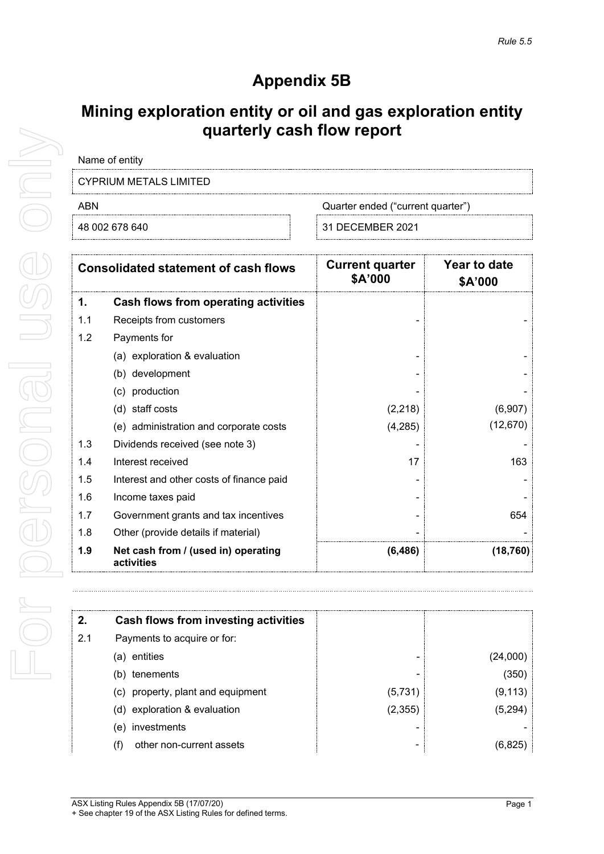# **Appendix 5B**

## **Mining exploration entity or oil and gas exploration entity quarterly cash flow report**

| Name of entity                                                                                                                                                                                                                                                                                                                                                            |  |  |
|---------------------------------------------------------------------------------------------------------------------------------------------------------------------------------------------------------------------------------------------------------------------------------------------------------------------------------------------------------------------------|--|--|
| $\bigcap_{i=1}^{n} \bigcap_{i=1}^{n} \bigcup_{i=1}^{n} \bigcup_{i=1}^{n} \bigcap_{i=1}^{n} \bigcap_{i=1}^{n} \bigcap_{i=1}^{n} \bigcap_{i=1}^{n} \bigcap_{i=1}^{n} \bigcap_{i=1}^{n} \bigcap_{i=1}^{n} \bigcap_{i=1}^{n} \bigcap_{i=1}^{n} \bigcap_{i=1}^{n} \bigcap_{i=1}^{n} \bigcap_{i=1}^{n} \bigcap_{i=1}^{n} \bigcap_{i=1}^{n} \bigcap_{i=1}^{n} \bigcap_{i=1}^{n}$ |  |  |

CYPRIUM METALS LIMITED

ABN Cuarter ended ("current quarter")

48 002 678 640 31 DECEMBER 2021

| <b>Consolidated statement of cash flows</b> |                                                   | <b>Current quarter</b><br>\$A'000 | Year to date<br>\$A'000 |  |
|---------------------------------------------|---------------------------------------------------|-----------------------------------|-------------------------|--|
| 1.                                          | Cash flows from operating activities              |                                   |                         |  |
| 1.1                                         | Receipts from customers                           |                                   |                         |  |
| 1.2                                         | Payments for                                      |                                   |                         |  |
|                                             | (a) exploration & evaluation                      |                                   |                         |  |
|                                             | (b) development                                   |                                   |                         |  |
|                                             | (c) production                                    |                                   |                         |  |
|                                             | (d) staff costs                                   | (2, 218)                          | (6,907)                 |  |
|                                             | (e) administration and corporate costs            | (4,285)                           | (12, 670)               |  |
| 1.3                                         | Dividends received (see note 3)                   |                                   |                         |  |
| 1.4                                         | Interest received                                 | 17                                | 163                     |  |
| 1.5                                         | Interest and other costs of finance paid          |                                   |                         |  |
| 1.6                                         | Income taxes paid                                 |                                   |                         |  |
| 1.7                                         | Government grants and tax incentives              |                                   | 654                     |  |
| 1.8                                         | Other (provide details if material)               |                                   |                         |  |
| 1.9                                         | Net cash from / (used in) operating<br>activities | (6, 486)                          | (18, 760)               |  |

| 2.  | Cash flows from investing activities |         |          |
|-----|--------------------------------------|---------|----------|
| 2.1 | Payments to acquire or for:          |         |          |
|     | entities<br>(a)                      |         | (24,000) |
|     | tenements<br>(b)                     |         | (350)    |
|     | (c) property, plant and equipment    | (5,731) | (9, 113) |
|     | (d) exploration & evaluation         | (2,355) | (5,294)  |
|     | investments<br>(e)                   |         |          |
|     | other non-current assets<br>(f)      |         | (6.825   |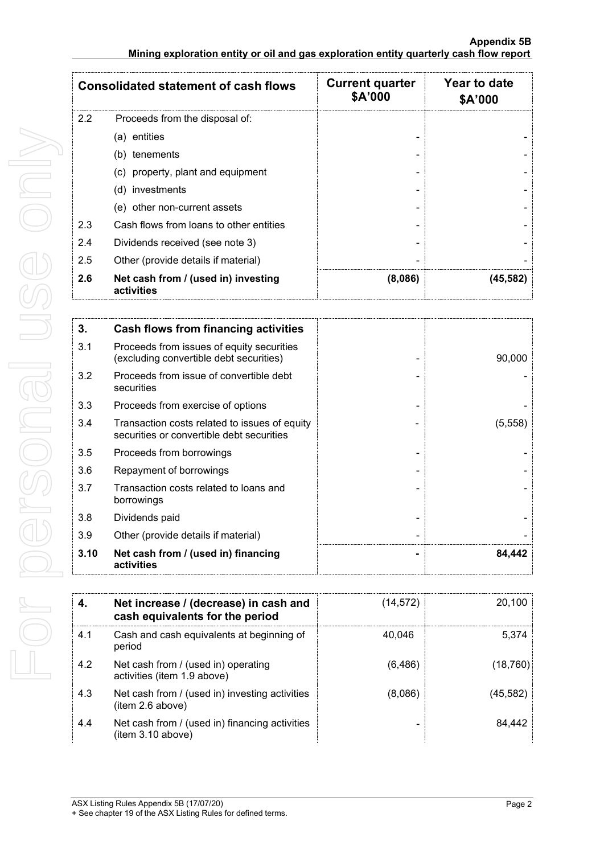| <b>Consolidated statement of cash flows</b> |                                                   | <b>Current quarter</b><br>\$A'000 | Year to date<br>\$A'000 |
|---------------------------------------------|---------------------------------------------------|-----------------------------------|-------------------------|
| 2.2                                         | Proceeds from the disposal of:                    |                                   |                         |
|                                             | (a) entities                                      |                                   |                         |
|                                             | (b) tenements                                     |                                   |                         |
|                                             | (c) property, plant and equipment                 |                                   |                         |
|                                             | (d) investments                                   |                                   |                         |
|                                             | (e) other non-current assets                      |                                   |                         |
| 2.3                                         | Cash flows from loans to other entities           |                                   |                         |
| 2.4                                         | Dividends received (see note 3)                   |                                   |                         |
| 2.5                                         | Other (provide details if material)               |                                   |                         |
| 2.6                                         | Net cash from / (used in) investing<br>activities | (8,086)                           | (45, 582)               |

| 3.   | <b>Cash flows from financing activities</b>                                                |         |
|------|--------------------------------------------------------------------------------------------|---------|
| 3.1  | Proceeds from issues of equity securities<br>(excluding convertible debt securities)       | 90,000  |
| 3.2  | Proceeds from issue of convertible debt<br>securities                                      |         |
| 3.3  | Proceeds from exercise of options                                                          |         |
| 3.4  | Transaction costs related to issues of equity<br>securities or convertible debt securities | (5,558) |
| 3.5  | Proceeds from borrowings                                                                   |         |
| 3.6  | Repayment of borrowings                                                                    |         |
| 3.7  | Transaction costs related to loans and<br>borrowings                                       |         |
| 3.8  | Dividends paid                                                                             |         |
| 3.9  | Other (provide details if material)                                                        |         |
| 3.10 | Net cash from / (used in) financing<br>activities                                          | 84.442  |

|     | Net increase / (decrease) in cash and<br>cash equivalents for the period | (14, 572) | 20.100   |
|-----|--------------------------------------------------------------------------|-----------|----------|
| 4.1 | Cash and cash equivalents at beginning of<br>period                      | 40.046    | 5.374    |
| 4.2 | Net cash from / (used in) operating<br>activities (item 1.9 above)       | (6, 486)  | (18,760) |
| 4.3 | Net cash from / (used in) investing activities<br>(item 2.6 above)       | (8,086)   | (45,582) |
| 4.4 | Net cash from / (used in) financing activities<br>(item 3.10 above)      |           | 84.442   |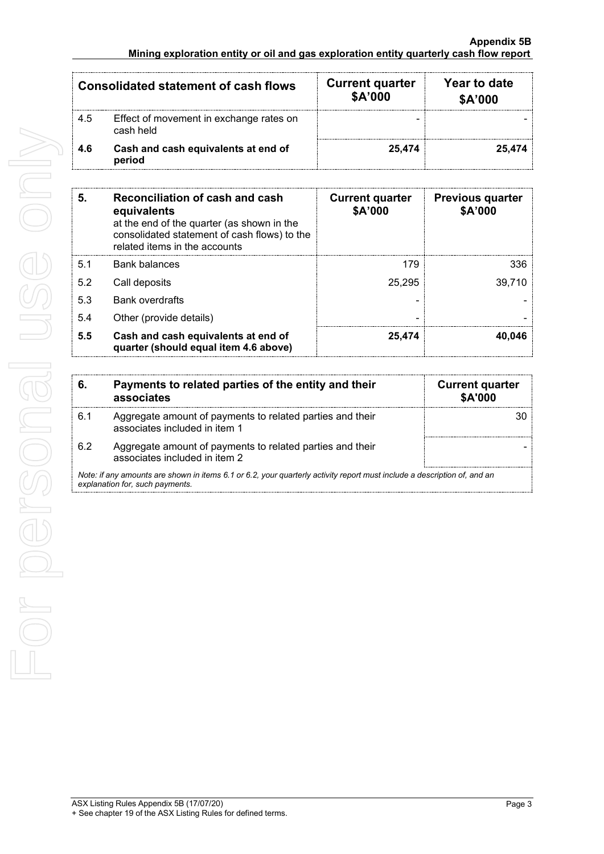#### **Appendix 5B Mining exploration entity or oil and gas exploration entity quarterly cash flow report**

| <b>Consolidated statement of cash flows</b> |                                                      | <b>Current quarter</b><br>\$A'000 | Year to date<br>\$A'000 |
|---------------------------------------------|------------------------------------------------------|-----------------------------------|-------------------------|
| 4.5                                         | Effect of movement in exchange rates on<br>cash held | -                                 |                         |
| 4.6                                         | Cash and cash equivalents at end of<br>period        | 25.474                            | 25.474                  |

| 5.  | Reconciliation of cash and cash<br>equivalents<br>at the end of the quarter (as shown in the<br>consolidated statement of cash flows) to the<br>related items in the accounts | <b>Current quarter</b><br>\$A'000 | <b>Previous quarter</b><br>\$A'000 |
|-----|-------------------------------------------------------------------------------------------------------------------------------------------------------------------------------|-----------------------------------|------------------------------------|
| 5.1 | Bank balances                                                                                                                                                                 | 179                               | 336                                |
| 5.2 | Call deposits                                                                                                                                                                 | 25.295                            | 39.710                             |
| 5.3 | <b>Bank overdrafts</b>                                                                                                                                                        |                                   |                                    |
| 5.4 | Other (provide details)                                                                                                                                                       |                                   |                                    |
| 5.5 | Cash and cash equivalents at end of<br>quarter (should equal item 4.6 above)                                                                                                  | 25,474                            | 40.046                             |

| 6. | Payments to related parties of the entity and their<br>associates                                                                                           | <b>Current quarter</b><br>\$A'000 |
|----|-------------------------------------------------------------------------------------------------------------------------------------------------------------|-----------------------------------|
| 61 | Aggregate amount of payments to related parties and their<br>associates included in item 1                                                                  |                                   |
| 62 | Aggregate amount of payments to related parties and their<br>associates included in item 2                                                                  |                                   |
|    | Note: if any amounts are shown in items 6.1 or 6.2, your quarterly activity report must include a description of, and an<br>explanation for, such payments. |                                   |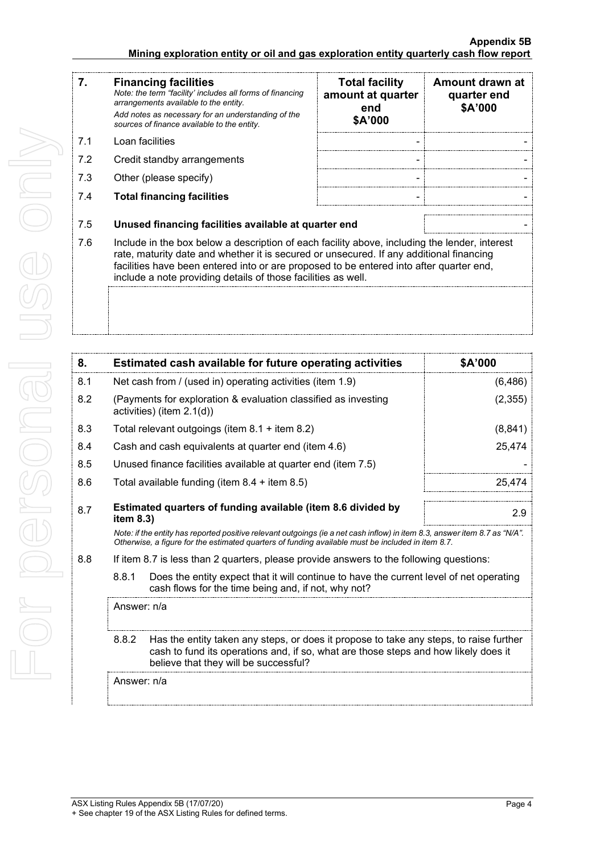#### **Appendix 5B Mining exploration entity or oil and gas exploration entity quarterly cash flow report**

| 7.  | <b>Financing facilities</b><br>Note: the term "facility' includes all forms of financing<br>arrangements available to the entity.<br>Add notes as necessary for an understanding of the<br>sources of finance available to the entity.                                                                                                               | <b>Total facility</b><br>amount at quarter<br>end<br>\$A'000 | Amount drawn at<br>quarter end<br>\$A'000 |
|-----|------------------------------------------------------------------------------------------------------------------------------------------------------------------------------------------------------------------------------------------------------------------------------------------------------------------------------------------------------|--------------------------------------------------------------|-------------------------------------------|
| 7.1 | Loan facilities                                                                                                                                                                                                                                                                                                                                      |                                                              |                                           |
| 7.2 | Credit standby arrangements                                                                                                                                                                                                                                                                                                                          | -                                                            |                                           |
| 7.3 | Other (please specify)                                                                                                                                                                                                                                                                                                                               | $\blacksquare$                                               |                                           |
| 7.4 | <b>Total financing facilities</b>                                                                                                                                                                                                                                                                                                                    |                                                              |                                           |
| 7.5 | Unused financing facilities available at quarter end                                                                                                                                                                                                                                                                                                 |                                                              |                                           |
| 7.6 | Include in the box below a description of each facility above, including the lender, interest<br>rate, maturity date and whether it is secured or unsecured. If any additional financing<br>facilities have been entered into or are proposed to be entered into after quarter end,<br>include a note providing details of those facilities as well. |                                                              |                                           |
|     |                                                                                                                                                                                                                                                                                                                                                      |                                                              |                                           |

| 8.          |                                                                                                                                                         | Estimated cash available for future operating activities                                                                                                                                                                        | \$A'000  |
|-------------|---------------------------------------------------------------------------------------------------------------------------------------------------------|---------------------------------------------------------------------------------------------------------------------------------------------------------------------------------------------------------------------------------|----------|
| 8.1         |                                                                                                                                                         | Net cash from / (used in) operating activities (item 1.9)                                                                                                                                                                       | (6, 486) |
| 8.2         |                                                                                                                                                         | (Payments for exploration & evaluation classified as investing<br>activities) (item $2.1(d)$ )                                                                                                                                  | (2, 355) |
| 8.3         |                                                                                                                                                         | Total relevant outgoings (item 8.1 + item 8.2)                                                                                                                                                                                  | (8, 841) |
| 8.4         |                                                                                                                                                         | Cash and cash equivalents at quarter end (item 4.6)                                                                                                                                                                             | 25,474   |
| 8.5         |                                                                                                                                                         | Unused finance facilities available at quarter end (item 7.5)                                                                                                                                                                   |          |
| 8.6         |                                                                                                                                                         | Total available funding (item $8.4 +$ item $8.5$ )                                                                                                                                                                              | 25,474   |
| 8.7         | item $8.3$ )                                                                                                                                            | Estimated quarters of funding available (item 8.6 divided by                                                                                                                                                                    | 2.9      |
|             |                                                                                                                                                         | Note: if the entity has reported positive relevant outgoings (ie a net cash inflow) in item 8.3, answer item 8.7 as "N/A".<br>Otherwise, a figure for the estimated quarters of funding available must be included in item 8.7. |          |
| 8.8         |                                                                                                                                                         | If item 8.7 is less than 2 quarters, please provide answers to the following questions:                                                                                                                                         |          |
|             | 8.8.1<br>Does the entity expect that it will continue to have the current level of net operating<br>cash flows for the time being and, if not, why not? |                                                                                                                                                                                                                                 |          |
| Answer: n/a |                                                                                                                                                         |                                                                                                                                                                                                                                 |          |
|             | 8.8.2                                                                                                                                                   | Has the entity taken any steps, or does it propose to take any steps, to raise further<br>cash to fund its operations and, if so, what are those steps and how likely does it<br>believe that they will be successful?          |          |
|             | Answer: n/a                                                                                                                                             |                                                                                                                                                                                                                                 |          |